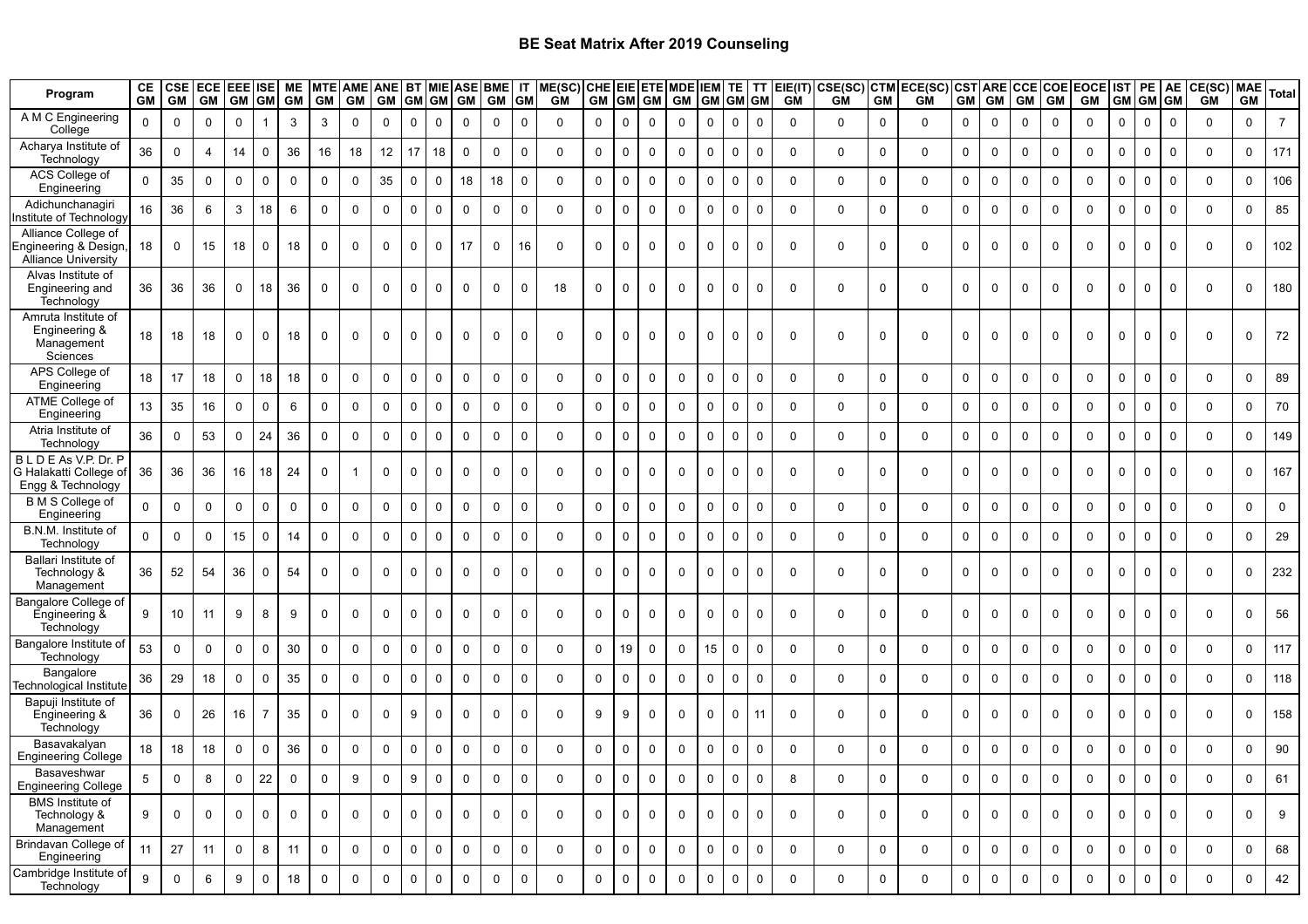| Program                                                             | СE<br><b>GM</b> | <b>CSE</b><br><b>GM</b> | <b>ECE</b><br><b>GM</b> | <b>EEE ISE</b><br><b>GM</b> | <b>GM</b>           | ME<br><b>GM</b> | <b>GM</b>    | MTE AME ANE BT MIE ASE BME<br><b>GM</b> | <b>GM</b>   | GM GM        |             | <b>GM</b>   | GM          | IT<br><b>GM</b>  | ME(SC)<br>GM | GM GM        |             | <b>GM</b>   | CHE EIE ETE MDE IEM TE<br><b>GM</b> | GM GM GM     |             | TT          | EIE(IT)<br><b>GM</b> | CSE(SC)<br>GM | <b>CTM</b><br><b>GM</b> | ECE(SC) CST ARE CCE COE EOCE<br><b>GM</b> | <b>GM</b>   | <b>GM</b>    | <b>GM</b>   | <b>GM</b>   | <b>GM</b>   | <b>IST</b><br><b>GM</b> | PE<br><b>GM</b> | AE<br><b>GM</b> | CE(SC) MAE<br><b>GM</b> | <b>GM</b>   | <b>Total</b>   |
|---------------------------------------------------------------------|-----------------|-------------------------|-------------------------|-----------------------------|---------------------|-----------------|--------------|-----------------------------------------|-------------|--------------|-------------|-------------|-------------|------------------|--------------|--------------|-------------|-------------|-------------------------------------|--------------|-------------|-------------|----------------------|---------------|-------------------------|-------------------------------------------|-------------|--------------|-------------|-------------|-------------|-------------------------|-----------------|-----------------|-------------------------|-------------|----------------|
| A M C Engineering<br>College                                        | $\Omega$        | $\mathbf 0$             | $\Omega$                | $\mathbf 0$                 |                     | 3               | 3            | $\Omega$                                | $\Omega$    | $\Omega$     | $\Omega$    | $\mathbf 0$ | $\mathbf 0$ | $\mathbf 0$      | $\Omega$     | $\Omega$     | $\mathbf 0$ | $\Omega$    | $\Omega$                            | $\Omega$     | $\Omega$    | $\Omega$    | $\Omega$             | $\mathbf 0$   | $\mathbf 0$             | $\Omega$                                  | $\mathbf 0$ | $\Omega$     | $\mathbf 0$ | $\mathbf 0$ | $\Omega$    | $\Omega$                | $\mathbf 0$     | $\overline{0}$  | $\Omega$                | $\mathbf 0$ | $\overline{7}$ |
| Acharya Institute of<br>Technology                                  | 36              | $\mathbf 0$             | $\overline{4}$          | 14                          | $\Omega$            | 36              | 16           | 18                                      | 12          | 17           | 18          | $\mathbf 0$ | $\mathbf 0$ | $\mathbf 0$      | $\Omega$     | $\Omega$     | $\mathbf 0$ | $\mathbf 0$ | $\Omega$                            | $\mathbf 0$  | $\mathbf 0$ | $\mathbf 0$ | $\Omega$             | 0             | $\mathbf 0$             | $\Omega$                                  | $\mathbf 0$ | $\mathbf 0$  | $\mathbf 0$ | $\mathsf 0$ | $\mathbf 0$ | $\Omega$                | $\mathbf 0$     | $\overline{0}$  | $\Omega$                | $\mathbf 0$ | 171            |
| ACS College of<br>Engineering                                       | $\Omega$        | 35                      | $\mathbf 0$             | $\mathbf 0$                 | $\mathbf 0$         | $\mathbf 0$     | $\Omega$     | $\mathbf 0$                             | 35          | 0            | $\Omega$    | 18          | 18          | $\mathbf 0$      | $\Omega$     | $\Omega$     | $\mathbf 0$ | $\Omega$    | $\Omega$                            | $\Omega$     | $\Omega$    | $\mathbf 0$ | $\Omega$             | $\mathbf 0$   | $\mathbf 0$             | $\mathbf 0$                               | $\mathbf 0$ | $\mathbf 0$  | $\Omega$    | $\mathbf 0$ | $\mathbf 0$ | $\mathbf 0$             | $\mathbf 0$     | $\mathbf 0$     | $\Omega$                | $\mathbf 0$ | 106            |
| Adichunchanagiri<br>nstitute of Technology                          | 16              | 36                      | 6                       | 3                           | 18                  | 6               | $\Omega$     | $\mathbf 0$                             | $\mathbf 0$ | $\mathbf 0$  | $\mathbf 0$ | $\mathbf 0$ | $\mathbf 0$ | $\mathbf 0$      | $\Omega$     | $\Omega$     | $\mathbf 0$ | $\mathbf 0$ | $\Omega$                            | $\mathbf{0}$ | $\mathbf 0$ | $\mathbf 0$ | $\Omega$             | 0             | $\mathbf 0$             | $\Omega$                                  | $\mathbf 0$ | $\mathbf 0$  | $\mathbf 0$ | $\mathbf 0$ | $\mathbf 0$ | $\mathbf 0$             | $\mathbf 0$     | $\overline{0}$  | $\Omega$                | $\mathbf 0$ | 85             |
| Alliance College of<br>Engineering & Design,<br>Alliance University | 18              | 0                       | 15                      | 18                          | $\mathbf 0$         | 18              | $\Omega$     | $\mathbf 0$                             | $\mathbf 0$ | $\Omega$     | $\Omega$    | 17          | 0           | 16               | 0            | 0            | $\mathbf 0$ | $\Omega$    | $\mathbf 0$                         | 0            | $\mathbf 0$ | $\mathbf 0$ | $\Omega$             | 0             | 0                       | $\mathbf 0$                               | 0           | $\mathbf 0$  | $\mathbf 0$ | $\mathbf 0$ | $\mathbf 0$ | $\mathbf 0$             | $\mathbf 0$     | $\Omega$        | 0                       | $\mathbf 0$ | 102            |
| Alvas Institute of<br>Engineering and<br>Technology                 | 36              | 36                      | 36                      | $\mathbf 0$                 | 18                  | 36              | $\Omega$     | $\mathbf 0$                             | $\mathbf 0$ | 0            | $\Omega$    | $\mathbf 0$ | $\mathbf 0$ | $\mathbf 0$      | 18           | $\mathbf 0$  | $\mathbf 0$ | $\mathbf 0$ | $\mathbf 0$                         | 0            | $\mathbf 0$ | $\mathbf 0$ | $\Omega$             | 0             | $\mathbf 0$             | $\mathbf 0$                               | 0           | 0            | $\mathbf 0$ | $\mathbf 0$ | $\mathbf 0$ | $\mathbf 0$             | $\mathbf 0$     | $\mathbf 0$     | $\mathbf 0$             | $\mathbf 0$ | 180            |
| Amruta Institute of<br>Engineering &<br>Management<br>Sciences      | 18              | 18                      | 18                      | $\mathbf 0$                 | $\mathbf 0$         | 18              | $\Omega$     | $\mathbf 0$                             | $\mathbf 0$ | $\Omega$     | $\Omega$    | $\mathbf 0$ | $\mathbf 0$ | $\mathbf 0$      | $\Omega$     | $\Omega$     | $\mathbf 0$ | $\mathbf 0$ | $\Omega$                            | $\mathbf{0}$ | $\mathbf 0$ | $\Omega$    | $\Omega$             | $\mathbf 0$   | $\mathbf 0$             | $\Omega$                                  | 0           | 0            | $\mathbf 0$ | $\mathbf 0$ | $\mathbf 0$ | $\Omega$                | $\mathbf 0$     | $\Omega$        | $\Omega$                | $\mathbf 0$ | 72             |
| APS College of<br>Engineering                                       | 18              | 17                      | 18                      | $\mathbf 0$                 | 18                  | 18              | $\mathbf{0}$ | $\mathbf 0$                             | $\mathbf 0$ | $\mathbf 0$  | $\Omega$    | $\mathbf 0$ | 0           | $\mathbf 0$      | 0            | 0            | $\mathbf 0$ | 0           | $\Omega$                            | $\mathbf{0}$ | $\Omega$    | $\mathbf 0$ | $\Omega$             | 0             | $\mathbf 0$             | $\mathbf 0$                               | 0           | $\mathbf 0$  | $\mathbf 0$ | $\mathbf 0$ | $\mathbf 0$ | $\mathbf 0$             | $\mathbf 0$     | $\mathbf 0$     | $\mathbf 0$             | $\mathbf 0$ | 89             |
| ATME College of<br>Engineering                                      | 13              | 35                      | 16                      | $\mathbf 0$                 | $\mathbf 0$         | 6               | $\mathbf{0}$ | $\mathbf 0$                             | $\mathbf 0$ | $\Omega$     | $\Omega$    | $\mathbf 0$ | 0           | $\mathbf 0$      | 0            | $\mathbf 0$  | $\mathbf 0$ | 0           | $\mathbf 0$                         | $\Omega$     | $\mathbf 0$ | $\mathbf 0$ | $\Omega$             | $\mathbf 0$   | $\mathbf 0$             | $\mathbf 0$                               | $\mathbf 0$ | $\mathbf 0$  | $\mathbf 0$ | $\mathbf 0$ | $\mathbf 0$ | $\mathbf 0$             | $\mathbf 0$     | $\mathbf 0$     | $\Omega$                | $\mathbf 0$ | 70             |
| Atria Institute of<br>Technology                                    | 36              | $\Omega$                | 53                      | $\mathbf 0$                 | 24                  | 36              | $\Omega$     | $\mathbf 0$                             | $\mathbf 0$ | $\Omega$     | $\Omega$    | $\mathbf 0$ | 0           | $\mathbf 0$      | $\Omega$     | $\mathbf 0$  | $\mathbf 0$ | $\mathbf 0$ | $\mathbf 0$                         | $\Omega$     | $\mathbf 0$ | $\mathbf 0$ | $\Omega$             | $\mathbf 0$   | $\mathbf 0$             | $\mathbf 0$                               | 0           | $\mathbf 0$  | $\mathbf 0$ | $\mathbf 0$ | $\mathbf 0$ | $\mathbf 0$             | $\mathbf 0$     | $\Omega$        | $\Omega$                | $\mathbf 0$ | 149            |
| BLDEAs V.P. Dr. P<br>G Halakatti College of<br>Engg & Technology    | 36              | 36                      | 36                      | 16                          | 18                  | 24              | $\Omega$     |                                         | $\mathbf 0$ | $\Omega$     | 0           | $\mathbf 0$ | $\mathbf 0$ | $\mathbf 0$      | 0            | $\mathbf 0$  | $\mathbf 0$ | $\mathbf 0$ | $\mathbf 0$                         | $\mathbf 0$  | $\mathbf 0$ | $\mathbf 0$ | $\Omega$             | $\mathbf 0$   | $\mathbf 0$             | $\mathbf 0$                               | $\mathbf 0$ | $\mathbf 0$  | $\mathbf 0$ | $\mathbf 0$ | $\mathbf 0$ | $\mathbf 0$             | $\mathbf 0$     | $\Omega$        | $\Omega$                | $\mathbf 0$ | 167            |
| B M S College of<br>Engineering                                     | $\Omega$        | $\mathbf 0$             | $\mathbf 0$             | $\mathbf 0$                 | $\mathbf 0$         | $\mathbf 0$     | $\mathbf 0$  | $\mathbf 0$                             | $\mathbf 0$ | 0            | $\Omega$    | $\mathbf 0$ | $\mathbf 0$ | $\mathbf 0$      | $\mathbf 0$  | 0            | $\mathbf 0$ | $\mathbf 0$ | $\mathbf 0$                         | $\mathbf{0}$ | $\Omega$    | $\mathbf 0$ | $\Omega$             | $\mathbf 0$   | $\Omega$                | $\mathbf 0$                               | $\mathbf 0$ | $\mathbf 0$  | $\mathbf 0$ | $\mathbf 0$ | $\mathbf 0$ | $\mathbf 0$             | $\mathbf 0$     | $\mathbf 0$     | $\mathbf 0$             | $\mathbf 0$ | $\mathbf 0$    |
| B.N.M. Institute of<br>Technology                                   | $\Omega$        | $\Omega$                | $\Omega$                | 15                          | $\mathbf 0$         | 14              | $\Omega$     | $\Omega$                                | $\mathbf 0$ | $\Omega$     | $\Omega$    | $\Omega$    | $\mathbf 0$ | $\mathbf 0$      | $\Omega$     | $\Omega$     | $\mathbf 0$ | $\mathbf 0$ | $\Omega$                            | $\Omega$     | $\Omega$    | $\mathbf 0$ | $\Omega$             | $\mathbf 0$   | $\Omega$                | $\Omega$                                  | 0           | $\Omega$     | $\mathbf 0$ | $\mathbf 0$ | $\mathbf 0$ | $\Omega$                | $\mathbf 0$     | $\mathbf{0}$    | $\Omega$                | $\Omega$    | 29             |
| Ballari Institute of<br>Technology &<br>Management                  | 36              | 52                      | 54                      | 36                          | $\mathbf 0$         | 54              | $\Omega$     | 0                                       | 0           | 0            | $\Omega$    | $\Omega$    | 0           | $\mathbf 0$      | $\Omega$     | $\Omega$     | $\Omega$    | $\Omega$    | $\Omega$                            | $\Omega$     | $\Omega$    | $\mathbf 0$ | $\Omega$             | $\mathbf 0$   | $\mathbf 0$             | $\Omega$                                  | $\mathbf 0$ | 0            | $\Omega$    | $\Omega$    | $\mathbf 0$ | $\Omega$                | $\mathbf 0$     | $\Omega$        | $\Omega$                | $\mathbf 0$ | 232            |
| Bangalore College of<br>Engineering &<br>Technology                 | 9               | 10                      | 11                      | 9                           | 8                   | 9               | 0            | $\mathbf 0$                             | $\mathbf 0$ | 0            | $\mathbf 0$ | $\mathbf 0$ | $\mathbf 0$ | $\mathbf 0$      | 0            | $\mathbf 0$  | 0           | $\mathbf 0$ | 0                                   | 0            | $\mathbf 0$ | $\mathbf 0$ | $\mathbf 0$          | 0             | $\mathbf 0$             | $\mathbf 0$                               | 0           | $\mathbf 0$  | $\mathbf 0$ | $\mathbf 0$ | $\mathbf 0$ | $\mathbf 0$             | $\mathbf 0$     | $\overline{0}$  | $\mathbf 0$             | $\mathbf 0$ | 56             |
| Bangalore Institute of<br>Technology                                | 53              | 0                       | $\mathbf 0$             | $\mathbf 0$                 | $\mathbf 0$         | 30              | $\mathbf 0$  | $\mathbf 0$                             | $\mathbf 0$ | $\mathbf 0$  | $\Omega$    | $\mathbf 0$ | 0           | $\mathbf 0$      | 0            | 0            | 19          | 0           | $\mathbf 0$                         | 15           | $\mathbf 0$ | $\mathbf 0$ | $\Omega$             | 0             | $\mathbf 0$             | $\mathbf 0$                               | $\mathbf 0$ | 0            | $\mathbf 0$ | $\mathbf 0$ | $\mathbf 0$ | $\mathbf 0$             | $\mathbf 0$     | $\mathbf 0$     | $\Omega$                | $\mathbf 0$ | 117            |
| Bangalore<br>Technological Institute                                | 36              | 29                      | 18                      | $\mathbf 0$                 | $\mathbf 0$         | 35              | $\mathbf{0}$ | $\mathbf 0$                             | $\mathbf 0$ | 0            | $\Omega$    | $\mathbf 0$ | 0           | $\mathbf 0$      | $\Omega$     | $\mathbf 0$  | $\mathbf 0$ | $\mathbf 0$ | $\mathbf 0$                         | $\mathbf 0$  | $\mathbf 0$ | $\mathbf 0$ | $\Omega$             | $\mathbf 0$   | $\mathbf 0$             | $\mathbf 0$                               | $\mathbf 0$ | $\mathbf 0$  | $\mathbf 0$ | $\mathbf 0$ | $\mathbf 0$ | $\mathbf 0$             | $\mathbf 0$     | $\Omega$        | $\Omega$                | $\mathbf 0$ | 118            |
| Bapuji Institute of<br>Engineering &<br>Technology                  | 36              | 0                       | 26                      | 16                          | 7                   | 35              | $\Omega$     | $\mathbf 0$                             | $\mathbf 0$ | 9            | 0           | $\mathbf 0$ | $\mathbf 0$ | $\Omega$         | $\Omega$     | 9            | 9           | $\mathbf 0$ | $\mathbf 0$                         | $\mathbf 0$  | $\mathbf 0$ | 11          | $\Omega$             | $\mathbf 0$   | $\mathbf 0$             | $\mathbf 0$                               | $\mathbf 0$ | $\mathsf{O}$ | $\mathbf 0$ | $\mathbf 0$ | $\mathbf 0$ | $\mathbf 0$             | $\mathbf 0$     | $\Omega$        | $\Omega$                | $\mathbf 0$ | 158            |
| Basavakalyan<br><b>Engineering College</b>                          | 18              | 18                      | 18                      | $\mathbf 0$                 | $\mathbf 0$         | 36              | $\mathbf 0$  | $\mathbf 0$                             | $\mathbf 0$ | 0            | $\Omega$    | $\mathbf 0$ | $\mathbf 0$ | $\mathbf 0$      | 0            | 0            | $\mathbf 0$ | $\mathbf 0$ | $\mathbf 0$                         | 0            | $\Omega$    | $\mathbf 0$ | $\Omega$             | $\mathbf 0$   | $\Omega$                | $\mathbf 0$                               | 0           | 0            | $\mathbf 0$ | $\mathbf 0$ | $\mathbf 0$ | $\mathbf 0$             | $\mathbf 0$     | $\mathbf 0$     | $\Omega$                | $\mathbf 0$ | 90             |
| Basaveshwar<br><b>Engineering College</b>                           | 5               | 0                       | 8                       | $\boldsymbol{0}$            | 22                  | $\mathbf 0$     | 0            | 9                                       | $\pmb{0}$   | 9            | $\mathbf 0$ | $\pmb{0}$   | $\pmb{0}$   | $\boldsymbol{0}$ | 0            | 0            | $\mathbf 0$ | 0           | $\mathbf 0$                         | 0            | $\mathbf 0$ | $\bf{0}$    | 8                    | $\mathbf 0$   | 0                       | 0                                         | $\mathbf 0$ | $\mathsf 0$  | $\pmb{0}$   | $\pmb{0}$   | $\mathbf 0$ | $\mathbf 0$             | $\mathbf 0$     | 0               | 0                       | $\pmb{0}$   | 61             |
| <b>BMS</b> Institute of<br>Technology &<br>Management               | 9               | 0                       | $\mathbf 0$             | $\mathbf 0$                 | $\mathbf 0$         | $\mathsf{O}$    | $\mathbf 0$  | $\mathbf 0$                             | $\mathbf 0$ | $\mathbf{0}$ | $\mathbf 0$ | $\mathbf 0$ | $\mathbf 0$ | $\mathbf 0$      | $\mathbf 0$  | $\mathbf 0$  | $\mathbf 0$ | $\mathbf 0$ | $\mathbf 0$                         | $\mathbf 0$  | $\mathbf 0$ | $\mathbf 0$ | $\mathbf 0$          | 0             | $\mathbf 0$             | $\mathbf{0}$                              | $\mathbf 0$ | $\mathbf 0$  | $\mathbf 0$ | $\mathbf 0$ | $\mathbf 0$ | $\mathbf 0$             | $\mathbf 0$     | $\overline{0}$  | $\mathbf 0$             | $\mathbf 0$ | 9              |
| Brindavan College of<br>Engineering                                 | 11              | 27                      | 11                      | $\mathbf 0$                 | 8                   | 11              | $\mathbf 0$  | $\mathbf 0$                             | $\mathbf 0$ | $\mathbf 0$  | $\mathbf 0$ | $\mathbf 0$ | $\mathbf 0$ | $\mathbf 0$      | $\mathbf 0$  | $\mathsf{O}$ | $\mathsf 0$ | $\mathsf 0$ | $\mathbf 0$                         | $\mathbf 0$  | $\mathbf 0$ | $\mathsf 0$ | $\mathbf 0$          | $\mathbf 0$   | $\mathbf 0$             | $\mathbf{0}$                              | 0           | $\mathbf 0$  | $\mathbf 0$ | $\mathbf 0$ | $\mathbf 0$ | $\mathsf{O}$            | $\mathbf 0$     | $\mathbf 0$     | $\mathbf 0$             | $\mathbf 0$ | 68             |
| Cambridge Institute of<br>Technology                                | 9               | $\mathbf 0$             | $\,6\,$                 | $\boldsymbol{9}$            | $\mathsf{O}\xspace$ | 18              | 0            | $\mathsf{O}\xspace$                     | $\mathbf 0$ | $\mathbf 0$  | $\mathbf 0$ | $\pmb{0}$   | $\mathbf 0$ | $\boldsymbol{0}$ | $\mathbf 0$  | 0            | $\mathbf 0$ | $\mathsf 0$ | $\mathbf 0$                         | $\mathbf 0$  | $\pmb{0}$   | $\pmb{0}$   | $\mathsf{O}$         | 0             | $\mathbf 0$             | $\mathbf 0$                               | 0           | $\mathsf 0$  | $\mathbf 0$ | $\mathbf 0$ | $\mathbf 0$ | $\mathbf 0$             | $\mathbf 0$     | $\mathbf 0$     | $\mathbf 0$             | $\pmb{0}$   | 42             |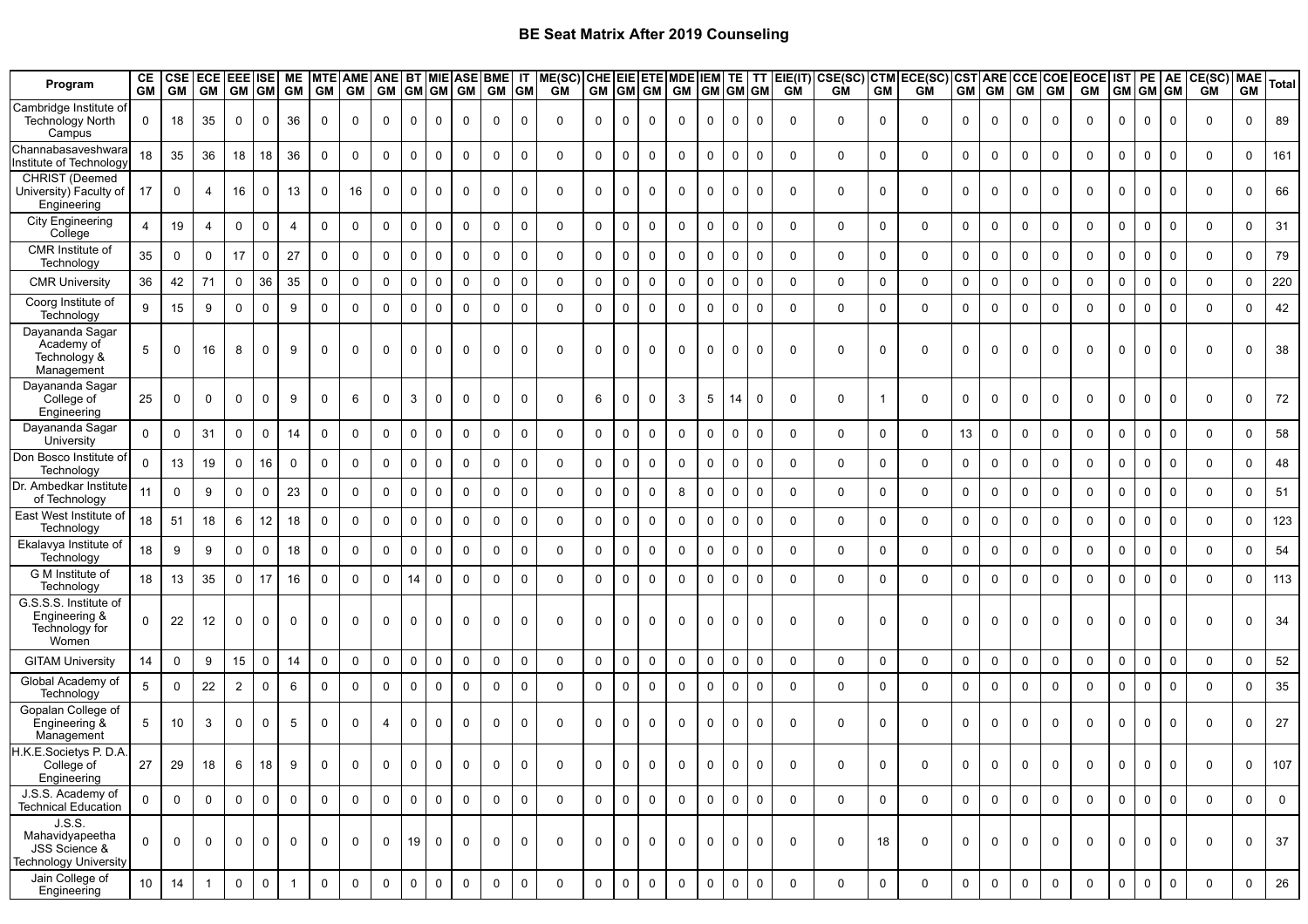| Program                                                             | CЕ<br><b>GM</b> | <b>CSE</b><br><b>GM</b> | ECE EEE ISE<br><b>GM</b> | <b>GM</b>      | <b>GM</b>   | ME<br><b>GM</b> | GM GM       | MTE AME ANE BT MIE ASE BME IT | GM GM GM GM |                         |                |              | <b>GM</b> GM |             | ME(SC) CHE EIE ETE MDE<br><b>GM</b> |             |             | GM GM GM     | <b>GM</b>           | <b>IEM TE</b><br><b>GM</b> GM GM |             | I TT        | EIE(IT)<br><b>GM</b> | CSE(SC)<br><b>GM</b> | <b>CTM</b><br><b>GM</b> | ECE(SC)<br>GM | <b>GM</b>           | <b>GM</b>   | <b>GM</b>   | <b>GM</b>    | CSTARE CCECOE EOCE<br><b>GM</b> |                | IST PE<br>GM GM GM | <b>AE</b>   | <b>CE(SC)</b> MAE<br><b>GM</b> | <b>GM</b>   | <b>Total</b>   |
|---------------------------------------------------------------------|-----------------|-------------------------|--------------------------|----------------|-------------|-----------------|-------------|-------------------------------|-------------|-------------------------|----------------|--------------|--------------|-------------|-------------------------------------|-------------|-------------|--------------|---------------------|----------------------------------|-------------|-------------|----------------------|----------------------|-------------------------|---------------|---------------------|-------------|-------------|--------------|---------------------------------|----------------|--------------------|-------------|--------------------------------|-------------|----------------|
| Cambridge Institute of<br><b>Technology North</b><br>Campus         | 0               | 18                      | 35                       | $\mathbf 0$    | 0           | 36              | 0           | 0                             | 0           | $\overline{\mathbf{0}}$ | $\mathbf 0$    | $\Omega$     | 0            | $\Omega$    | $\Omega$                            | $\mathbf 0$ | 0           | 0            | 0                   | $\Omega$                         | $\mathbf 0$ | 0           | $\mathbf 0$          | 0                    | $\mathbf 0$             | 0             | $\mathbf 0$         | $\mathbf 0$ | 0           | $\mathbf 0$  | 0                               | $\mathbf 0$    | 0                  | 0           | 0                              | 0           | 89             |
| Channabasaveshwara<br>nstitute of Technology                        | 18              | 35                      | 36                       | 18             | 18          | 36              | 0           | $\Omega$                      | $\Omega$    | $\mathbf 0$             | $\mathbf 0$    | $\Omega$     | 0            | $\Omega$    | $\mathbf 0$                         | 0           | $\Omega$    | 0            | $\mathbf 0$         | $\mathbf 0$                      | $\mathbf 0$ | $\Omega$    | $\mathbf 0$          | $\mathbf 0$          | $\mathbf 0$             | 0             | $\mathbf 0$         | 0           | $\mathbf 0$ | $\mathbf 0$  | $\mathbf 0$                     | $\mathbf 0$    | $\mathbf 0$        | $\mathbf 0$ | $\mathbf 0$                    | 0           | 161            |
| <b>CHRIST</b> (Deemed<br>University) Faculty of<br>Engineering      | 17              | 0                       | 4                        | 16             | $\Omega$    | 13              | 0           | 16                            | $\Omega$    | $\mathbf 0$             | $\mathbf 0$    | $\mathbf{0}$ | $\Omega$     | $\Omega$    | $\Omega$                            | $\Omega$    | $\Omega$    | 0            | $\mathbf 0$         |                                  | $\Omega$    | $\Omega$    | $\Omega$             | $\mathbf 0$          | $\Omega$                | $\mathbf{0}$  | $\mathbf 0$         | $\mathbf 0$ | $\Omega$    | $\Omega$     | $\Omega$                        | $\mathbf 0$    | $\Omega$           | $\Omega$    | $\Omega$                       | $\Omega$    | 66             |
| <b>City Engineering</b><br>College                                  | $\overline{4}$  | 19                      | $\overline{4}$           | $\mathbf 0$    | $\mathbf 0$ | $\overline{4}$  | 0           | $\mathbf 0$                   | $\mathbf 0$ | $\mathbf 0$             | $\mathbf 0$    | $\mathbf 0$  | $\mathbf 0$  | $\Omega$    | $\Omega$                            | $\mathbf 0$ | $\mathbf 0$ | $\mathbf 0$  | $\mathbf 0$         | $\mathbf 0$                      | $\mathbf 0$ | $\mathbf 0$ | $\mathbf 0$          | $\mathbf 0$          | $\mathbf 0$             | $\mathbf 0$   | $\mathbf 0$         | $\mathbf 0$ | $\mathbf 0$ | $\mathbf 0$  | $\mathbf 0$                     | $\mathbf 0$    | $\mathbf 0$        | $\mathbf 0$ | $\mathbf 0$                    | 0           | 31             |
| CMR Institute of<br>Technology                                      | 35              | 0                       | $\mathbf 0$              | 17             | $\mathbf 0$ | 27              | 0           | $\mathbf 0$                   | $\Omega$    | $\mathbf 0$             | $\mathbf 0$    | $\mathbf 0$  | 0            | $\Omega$    | $\Omega$                            | $\mathbf 0$ | $\Omega$    | $\mathbf 0$  | $\mathbf 0$         | 0                                | $\mathbf 0$ | 0           | $\mathbf 0$          | 0                    | $\mathbf 0$             | $\mathbf{0}$  | $\mathbf 0$         | 0           | $\mathbf 0$ | $\mathbf 0$  | $\mathbf 0$                     | 0              | $\mathbf 0$        | $\mathbf 0$ | $\mathbf 0$                    | 0           | 79             |
| <b>CMR University</b>                                               | 36              | 42                      | 71                       | $\mathbf 0$    | 36          | 35              | 0           | 0                             | $\Omega$    | $\mathbf 0$             | $\mathbf 0$    | $\mathbf 0$  | 0            | $\mathbf 0$ | $\mathbf 0$                         | $\mathbf 0$ | $\mathbf 0$ | 0            | $\mathbf 0$         | $\mathbf 0$                      | $\mathbf 0$ | 0           | $\mathbf 0$          | $\mathbf 0$          | $\mathbf 0$             | $\mathbf{0}$  | $\mathbf 0$         | 0           | $\mathbf 0$ | $\mathbf 0$  | $\mathbf 0$                     | $\mathbf 0$    | $\mathbf 0$        | $\mathbf 0$ | $\mathbf 0$                    | 0           | 220            |
| Coorg Institute of<br>Technology                                    | 9               | 15                      | 9                        | $\mathbf 0$    | $\mathbf 0$ | 9               | $\mathbf 0$ | $\mathbf 0$                   | $\mathbf 0$ | $\overline{0}$          | $\overline{0}$ | $\Omega$     | $\Omega$     | $\Omega$    | $\Omega$                            | $\mathbf 0$ | $\Omega$    | $\mathbf 0$  | $\mathbf 0$         | $\Omega$                         | $\mathbf 0$ | $\mathbf 0$ | $\Omega$             | $\mathbf 0$          | $\Omega$                | $\mathbf{0}$  | $\mathbf 0$         | 0           | $\mathbf 0$ | $\mathbf 0$  | $\mathbf 0$                     | $\mathbf 0$    | $\mathbf 0$        | $\mathbf 0$ | $\mathbf{0}$                   | $\mathbf 0$ | 42             |
| Dayananda Sagar<br>Academy of<br>Technology &<br>Management         | 5               | $\mathbf 0$             | 16                       | 8              | $\Omega$    | 9               | $\mathbf 0$ | $\Omega$                      | $\Omega$    | $\mathbf 0$             | $\mathbf 0$    | $\mathbf 0$  | $\mathbf 0$  | $\Omega$    | $\Omega$                            | $\Omega$    | $\Omega$    | $\mathbf 0$  | $\mathbf 0$         | $\Omega$                         | $\mathbf 0$ | $\Omega$    | $\mathbf 0$          | $\Omega$             | $\mathbf 0$             | $\mathbf{0}$  | $\mathbf 0$         | $\mathbf 0$ | 0           | $\mathbf 0$  | $\mathbf 0$                     | $\mathbf 0$    | $\mathbf 0$        | $\mathbf 0$ | $\mathbf 0$                    | $\Omega$    | 38             |
| Dayananda Sagar<br>College of<br>Engineering                        | 25              | 0                       | $\mathbf 0$              | 0              | 0           | 9               | 0           | 6                             | 0           | 3                       | $\mathbf 0$    | $\mathbf 0$  | 0            | $\Omega$    | 0                                   | 6           | $\mathbf 0$ | 0            | 3                   | 5                                | 14          | 0           | $\mathbf 0$          | $\mathsf{O}$         | $\mathbf 1$             | 0             | $\mathbf 0$         | 0           | 0           | $\mathbf 0$  | $\mathbf 0$                     | $\mathbf 0$    | $\mathbf 0$        | $\mathbf 0$ | $\mathbf 0$                    | 0           | 72             |
| Dayananda Sagar<br>University                                       | $\Omega$        | 0                       | 31                       | $\mathbf 0$    | $\Omega$    | 14              | $\Omega$    | $\Omega$                      | $\Omega$    | $\mathbf 0$             | $\mathbf 0$    | $\mathbf 0$  | 0            | $\Omega$    | $\Omega$                            | $\mathbf 0$ | $\mathbf 0$ | 0            | $\mathbf 0$         | $\Omega$                         | $\mathbf 0$ | $\Omega$    | $\mathbf 0$          | $\mathbf 0$          | $\mathbf 0$             | $\mathbf{0}$  | 13                  | 0           | $\mathbf 0$ | $\mathbf 0$  | $\mathbf 0$                     | $\mathbf 0$    | $\mathbf 0$        | $\mathbf 0$ | $\mathbf 0$                    | $\mathbf 0$ | 58             |
| Don Bosco Institute of<br><b>Technology</b>                         | $\Omega$        | 13                      | 19                       | $\mathbf 0$    | 16          | $\mathbf 0$     | 0           | $\Omega$                      | $\Omega$    | $\mathbf 0$             | $\mathbf 0$    | $\mathbf 0$  | $\mathbf 0$  | $\Omega$    | $\mathbf 0$                         | $\mathbf 0$ | $\Omega$    | 0            | $\mathbf 0$         | $\mathbf 0$                      | $\mathbf 0$ | 0           | $\mathbf 0$          | 0                    | $\mathbf 0$             | $\mathbf 0$   | $\mathbf 0$         | 0           | $\mathbf 0$ | $\mathbf 0$  | $\mathbf 0$                     | $\mathbf 0$    | $\mathbf 0$        | $\mathbf 0$ | $\mathbf 0$                    | 0           | 48             |
| Dr. Ambedkar Institute<br>of Technology                             | 11              | 0                       | 9                        | $\mathbf 0$    | $\Omega$    | 23              | 0           | 0                             | $\Omega$    | $\mathbf 0$             | $\mathbf 0$    | $\mathbf 0$  | $\mathbf 0$  | $\Omega$    | $\mathbf 0$                         | $\mathbf 0$ | $\mathbf 0$ | 0            | 8                   | $\mathbf 0$                      | $\mathbf 0$ | $\Omega$    | $\mathbf 0$          | $\mathbf 0$          | $\mathbf 0$             | $\mathbf 0$   | $\mathbf 0$         | 0           | 0           | $\mathbf 0$  | $\mathbf 0$                     | $\mathbf 0$    | $\mathbf 0$        | $\mathbf 0$ | $\mathbf 0$                    | 0           | 51             |
| East West Institute of<br>Technology                                | 18              | 51                      | 18                       | 6              | 12          | 18              | $\mathbf 0$ | $\mathbf 0$                   | $\mathbf 0$ | $\mathbf 0$             | $\mathbf 0$    | $\mathbf 0$  | $\mathbf 0$  | $\Omega$    | $\Omega$                            | $\mathbf 0$ | $\Omega$    | $\mathbf 0$  | $\mathbf 0$         | $\mathbf 0$                      | $\mathbf 0$ | 0           | $\Omega$             | $\mathbf 0$          | $\mathbf 0$             | $\mathbf 0$   | $\mathbf 0$         | 0           | $\mathbf 0$ | $\mathbf 0$  | $\mathbf 0$                     | $\mathbf 0$    | $\mathbf 0$        | $\mathbf 0$ | $\mathbf 0$                    | 0           | 123            |
| Ekalavya Institute of<br>Technology                                 | 18              | 9                       | 9                        | $\mathbf 0$    | $\mathbf 0$ | 18              | 0           | $\mathbf 0$                   | $\mathbf 0$ | $\mathbf 0$             | $\overline{0}$ | $\mathbf 0$  | $\mathbf 0$  | $\mathbf 0$ | $\mathbf 0$                         | $\mathbf 0$ | $\mathbf 0$ | 0            | $\mathbf 0$         | $\Omega$                         | $\mathbf 0$ | $\mathbf 0$ | $\mathbf 0$          | $\mathbf 0$          | $\mathbf 0$             | $\mathbf{0}$  | $\mathsf 0$         | 0           | 0           | $\mathbf 0$  | $\mathbf 0$                     | $\mathbf 0$    | $\mathbf 0$        | $\mathbf 0$ | $\mathbf 0$                    | $\mathbf 0$ | 54             |
| G M Institute of<br>Technology                                      | 18              | 13                      | 35                       | $\mathbf 0$    | 17          | 16              | 0           | $\Omega$                      | $\mathbf 0$ | 14                      | $\mathbf 0$    | $\Omega$     | $\Omega$     | $\Omega$    | $\Omega$                            | $\mathbf 0$ | $\Omega$    | $\mathbf 0$  | $\Omega$            | $\Omega$                         | $\mathbf 0$ | $\Omega$    | $\Omega$             | $\mathbf 0$          | $\mathbf{0}$            | $\mathbf{0}$  | $\mathbf 0$         | $\mathbf 0$ | $\Omega$    | $\mathbf 0$  | $\mathbf 0$                     | $\mathbf 0$    | $\mathbf 0$        | $\Omega$    | $\Omega$                       | 0           | 113            |
| G.S.S.S. Institute of<br>Engineering &<br>Technology for<br>Women   | 0               | 22                      | 12                       | 0              | $\Omega$    | $\Omega$        | 0           | $\Omega$                      | $\Omega$    | $\mathbf 0$             | $\mathbf 0$    | $\Omega$     | $\Omega$     | $\Omega$    | $\Omega$                            | $\mathbf 0$ | $\Omega$    | 0            | 0                   | $\Omega$                         | $\mathbf 0$ | $\Omega$    | $\mathbf 0$          | 0                    | $\Omega$                | $\mathbf{0}$  | $\mathbf 0$         | 0           | $\Omega$    | $\mathbf{0}$ | 0                               | $\mathbf 0$    | $\Omega$           | $\Omega$    | $\mathbf 0$                    | 0           | 34             |
| <b>GITAM University</b>                                             | 14              | 0                       | 9                        | 15             | $\mathbf 0$ | 14              | 0           | $\mathbf 0$                   | $\mathbf 0$ | $\mathbf 0$             | $\mathbf 0$    | $\mathbf 0$  | 0            | $\mathbf 0$ | $\Omega$                            | $\mathbf 0$ | $\mathbf 0$ | 0            | $\mathbf 0$         | $\mathbf 0$                      | $\mathbf 0$ | $\mathbf 0$ | $\mathbf 0$          | 0                    | 0                       | $\mathbf{0}$  | $\mathbf 0$         | 0           | 0           | $\mathbf 0$  | $\mathbf 0$                     | $\mathbf 0$    | $\mathbf 0$        | $\mathbf 0$ | $\mathbf 0$                    | 0           | 52             |
| Global Academy of<br><b>Technology</b>                              | $\sqrt{5}$      | 0                       | 22                       | $\overline{2}$ | $\mathbf 0$ | 6               | 0           | $\Omega$                      | 0           | $\mathbf 0$             | $\mathbf 0$    | $\Omega$     | $\mathbf 0$  | $\Omega$    | $\Omega$                            | $\mathbf 0$ | $\Omega$    | 0            | $\mathbf 0$         | $\mathbf 0$                      | $\mathbf 0$ | $\Omega$    | $\mathbf 0$          | $\mathbf 0$          | $\mathbf 0$             | $\mathbf{0}$  | $\mathbf 0$         | 0           | 0           | $\mathbf 0$  | $\mathbf 0$                     | $\mathbf 0$    | $\mathbf 0$        | $\mathbf 0$ | $\mathbf 0$                    | 0           | 35             |
| Gopalan College of<br>Engineering &<br>Management                   | 5               | 10                      | 3                        | 0              | $\Omega$    | 5               | 0           | $\Omega$                      | 4           | $\mathbf 0$             | $\mathbf 0$    | $\Omega$     | $\Omega$     | $\Omega$    | $\Omega$                            | $\Omega$    | $\Omega$    | 0            | $\mathbf 0$         | $\Omega$                         | $\mathbf 0$ | $\Omega$    | $\mathbf 0$          | 0                    | 0                       | $\mathbf{0}$  | $\mathbf 0$         | 0           | $\Omega$    | $\mathbf 0$  | $\mathbf 0$                     | $\mathbf 0$    | $\mathbf 0$        | $\mathbf 0$ | $\mathbf 0$                    | $\Omega$    | 27             |
| H.K.E.Societys P. D.A.<br>College of<br>Engineering                 | 27              | 29                      | 18                       | O              | 18.         | У               | U           | U                             | 0           | υ                       |                | U            | 0            |             |                                     |             | U           | U            | U                   |                                  |             |             | $\mathbf 0$          |                      | υ                       |               |                     |             | U           |              |                                 |                |                    |             |                                |             | 107            |
| J.S.S. Academy of<br>Technical Education                            | $\mathbf 0$     | $\mathbf 0$             | $\mathbf 0$              | $\overline{0}$ | $\mathbf 0$ | $\mathbf{0}$    | $\mathbf 0$ | $\mathbf 0$                   | $\mathbf 0$ | $\overline{0}$          | $\mathbf 0$    | $\mathbf{0}$ | $\mathbf 0$  | $\mathbf 0$ | $\mathbf 0$                         | $\mathbf 0$ | $\mathbf 0$ | $\mathbf 0$  | $\mathbf 0$         | $\mathbf 0$                      | $\mathbf 0$ | $\mathbf 0$ | $\Omega$             | $\mathsf{O}$         | $\mathbf 0$             | $\mathbf 0$   | $\mathbf 0$         | $\mathbf 0$ | $\mathbf 0$ | $\mathbf 0$  | $\mathbf{0}$                    | $\overline{0}$ | $\mathbf 0$        | $\mathbf 0$ | $\mathbf 0$                    | $\mathbf 0$ | $\overline{0}$ |
| J.S.S.<br>Mahavidyapeetha<br>JSS Science &<br>Technology University | $\Omega$        | $\mathbf 0$             | $\mathbf 0$              | $\mathbf 0$    | 0           | $\mathbf 0$     | 0           | $\mathbf 0$                   | 0           | 19                      | $\mathbf 0$    | $\mathbf 0$  | 0            | $\Omega$    | $\Omega$                            | $\mathbf 0$ | 0           | 0            | $\mathbf 0$         | $\mathbf 0$                      | $\mathbf 0$ | 0           | $\mathbf 0$          | $\mathbf 0$          | 18                      | $\Omega$      | $\mathbf 0$         | $\mathbf 0$ | 0           | 0            | $\mathbf 0$                     | $\mathbf 0$    | $\mathbf 0$        | $\mathbf 0$ | $\mathbf 0$                    | 0           | 37             |
| Jain College of<br>Engineering                                      | 10              | 14                      |                          | $\mathbf 0$    | $\pmb{0}$   | $\overline{1}$  | $\mathbf 0$ | $\mathbf 0$                   | $\mathbf 0$ | $\mathbf 0$             | $\pmb{0}$      | $\mathbf 0$  | $\mathbf 0$  | $\mathsf 0$ | $\mathbf 0$                         | $\mathsf 0$ | $\mathbf 0$ | $\mathsf{O}$ | $\mathsf{O}\xspace$ | $\mathbf 0$                      | $\mathsf 0$ | $\mathbf 0$ | $\mathbf 0$          | $\mathbf 0$          | $\mathbf 0$             | $\mathbf 0$   | $\mathsf{O}\xspace$ | $\mathsf 0$ | $\mathbf 0$ | $\mathsf 0$  | $\mathsf 0$                     | $\mathsf 0$    | $\mathbf 0$        | $\mathbf 0$ | $\mathbf 0$                    | $\mathbf 0$ | 26             |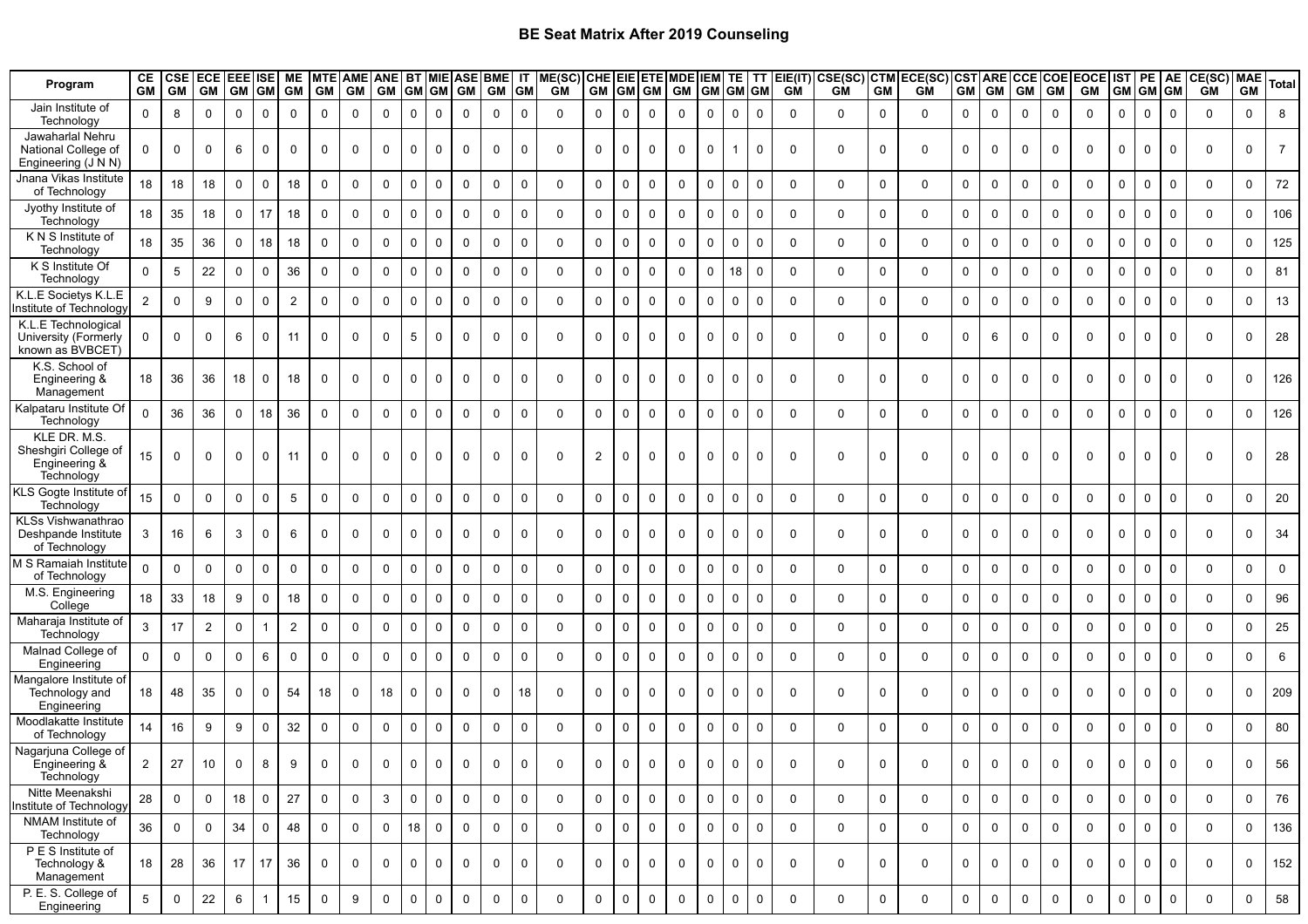| Program                                                             | CE<br><b>GM</b> | <b>CSE</b><br><b>GM</b> | <b>ECE</b><br>GM | <b>EEE</b> ISE<br>GM GM GM |                | ME              | GM GM       | MTE AME ANE BT MIE | GM GM GM     |                 |              | <b>GM</b>    | ASE BME IT<br>GM GM |             | ME(SC)<br>GM | CHE EIE ETE MDE |             | GM GM GM    | GM           | IEM<br><b>GM</b> | TE           | <b>GM</b> GM | TT EIE(IT)<br>GM | GM          | <b>GM</b>           | CSE(SC) CTM ECE(SC) CST ARE<br>GM | <b>GM</b>           | <b>GM</b>    | <b>CCE</b><br>GM | <b>COE</b><br><b>GM</b> | <b>EOCE</b><br>GM | <b>IST</b><br><b>GM</b> | PE<br><b>GM</b> GM |             | AE CE(SC)<br>GM GM | <b>MAE</b><br><b>GM</b> | Total          |
|---------------------------------------------------------------------|-----------------|-------------------------|------------------|----------------------------|----------------|-----------------|-------------|--------------------|--------------|-----------------|--------------|--------------|---------------------|-------------|--------------|-----------------|-------------|-------------|--------------|------------------|--------------|--------------|------------------|-------------|---------------------|-----------------------------------|---------------------|--------------|------------------|-------------------------|-------------------|-------------------------|--------------------|-------------|--------------------|-------------------------|----------------|
| Jain Institute of<br>Technology                                     | $\Omega$        | 8                       | $\mathbf{0}$     | $\Omega$                   | $\Omega$       | $\Omega$        | $\Omega$    | $\Omega$           | $\Omega$     | $\Omega$        | $\mathbf{0}$ | $\Omega$     | $\Omega$            | $\mathbf 0$ | $\Omega$     | $\Omega$        | $\mathbf 0$ | $\Omega$    | $\Omega$     | $\Omega$         | $\Omega$     | $\Omega$     | $\Omega$         | $\Omega$    | $\mathbf 0$         | $\Omega$                          | $\mathbf 0$         | $\Omega$     | $\mathbf{0}$     | $\Omega$                | $\mathbf{0}$      | $\Omega$                | $\Omega$           | $\Omega$    | $\Omega$           | 0                       | 8              |
| Jawaharlal Nehru<br>National College of<br>Engineering (J N N)      | $\Omega$        | 0                       | $\mathbf 0$      | 6                          | $\Omega$       | $\mathbf 0$     | $\mathbf 0$ | $\mathbf 0$        | $\mathbf 0$  | $\mathbf 0$     | $\mathbf 0$  | $\mathbf 0$  | 0                   | $\mathbf 0$ | $\Omega$     | $\mathbf 0$     | $\mathbf 0$ | $\mathbf 0$ | $\mathbf 0$  | $\mathbf 0$      | $\mathbf{1}$ | $\mathbf 0$  | $\Omega$         | $\mathbf 0$ | 0                   | 0                                 | $\mathbf 0$         | $\mathbf 0$  | $\mathbf 0$      | $\mathbf 0$             | $\mathbf 0$       | $\mathbf 0$             | $\Omega$           | $\Omega$    | $\mathbf 0$        | 0                       | $\overline{7}$ |
| Jnana Vikas Institute<br>of Technology                              | 18              | 18                      | 18               | 0                          | $\Omega$       | 18              | 0           | $\mathbf 0$        | $\mathbf 0$  | $\mathbf 0$     | $\mathbf 0$  | $\mathbf 0$  | 0                   | $\mathbf 0$ | $\mathbf 0$  | 0               | $\mathbf 0$ | 0           | $\mathbf 0$  | $\mathbf 0$      | $\mathbf 0$  | $\mathbf 0$  | $\Omega$         | $\mathbf 0$ | $\mathbf 0$         | 0                                 | 0                   | $\mathbf 0$  | $\mathbf 0$      | $\mathbf 0$             | $\mathbf 0$       | $\mathbf 0$             | $\Omega$           | $\mathbf 0$ | $\mathbf 0$        | 0                       | 72             |
| Jyothy Institute of<br>Technology                                   | 18              | 35                      | 18               | $\mathsf{O}$               | 17             | 18              | $\mathbf 0$ | $\mathbf 0$        | $\Omega$     | $\mathbf 0$     | $\mathbf 0$  | $\mathbf{0}$ | 0                   | $\mathbf 0$ | $\Omega$     | $\mathsf{O}$    | $\mathbf 0$ | 0           | $\mathbf 0$  | $\Omega$         | $\Omega$     | $\mathbf 0$  | $\Omega$         | $\mathbf 0$ | 0                   | 0                                 | $\mathbf 0$         | $\mathbf 0$  | $\mathbf 0$      | $\mathbf 0$             | $\mathbf 0$       | $\mathbf 0$             | $\Omega$           | $\Omega$    | $\mathbf{0}$       | 0                       | 106            |
| K N S Institute of<br>Technology                                    | 18              | 35                      | 36               | $\mathbf 0$                | 18             | 18              | $\mathbf 0$ | $\mathbf 0$        | $\mathbf 0$  | $\mathbf 0$     | $\mathbf 0$  | $\mathbf{0}$ | 0                   | $\mathbf 0$ | $\Omega$     | 0               | $\mathbf 0$ | $\mathbf 0$ | $\mathbf 0$  | $\mathbf 0$      | $\mathbf 0$  | $\mathbf 0$  | $\Omega$         | $\mathbf 0$ | $\mathbf 0$         | 0                                 | $\mathbf 0$         | $\mathbf 0$  | $\mathbf 0$      | $\mathbf 0$             | $\mathbf 0$       | $\mathbf 0$             | $\mathbf 0$        | $\Omega$    | $\mathbf{0}$       | $\Omega$                | 125            |
| K S Institute Of<br>Technology                                      | $\Omega$        | $5\phantom{.0}$         | 22               | $\mathbf 0$                | $\Omega$       | 36              | $\mathbf 0$ | $\mathbf{0}$       | $\mathbf 0$  | $\mathbf 0$     | $\mathbf 0$  | $\mathbf 0$  | 0                   | $\mathbf 0$ | $\Omega$     | $\mathbf 0$     | $\mathbf 0$ | $\mathbf 0$ | $\mathbf 0$  | $\mathbf 0$      | 18           | $\mathbf 0$  | $\Omega$         | $\mathbf 0$ | $\mathbf 0$         | $\Omega$                          | $\mathbf 0$         | $\mathbf 0$  | $\mathbf 0$      | $\mathbf 0$             | $\Omega$          | $\mathbf 0$             | $\Omega$           | $\Omega$    | $\Omega$           | 0                       | 81             |
| K.L.E Societys K.L.E<br>nstitute of Technology                      | 2               | $\Omega$                | 9                | $\mathbf 0$                | $\Omega$       | 2               | $\mathbf 0$ | $\mathbf{0}$       | $\Omega$     | $\Omega$        | $\Omega$     | $\mathbf{0}$ | $\Omega$            | $\mathbf 0$ | $\Omega$     | 0               | $\mathbf 0$ | $\Omega$    | $\Omega$     | $\Omega$         | $\mathbf 0$  | $\mathbf 0$  | $\Omega$         | $\mathbf 0$ | $\mathbf 0$         | $\Omega$                          | $\mathbf 0$         | $\mathbf 0$  | $\mathbf 0$      | $\mathbf 0$             | $\mathbf{0}$      | $\Omega$                | $\Omega$           | $\Omega$    | $\Omega$           | $\Omega$                | 13             |
| K.L.E Technological<br>University (Formerly<br>known as BVBCET      | $\mathbf 0$     | 0                       | $\mathbf 0$      | 6                          | $\Omega$       | 11              | $\mathbf 0$ | $\mathbf{0}$       | $\mathbf{0}$ | $5\phantom{.0}$ | $\mathbf 0$  | $\mathbf 0$  | $\mathbf 0$         | $\mathbf 0$ | $\Omega$     | $\Omega$        | $\mathbf 0$ | $\mathbf 0$ | $\mathbf 0$  | $\Omega$         | $\mathbf 0$  | $\mathbf 0$  | $\Omega$         | $\Omega$    | $\mathbf 0$         | $\Omega$                          | $\mathbf 0$         | 6            | $\Omega$         | $\Omega$                | $\mathbf{0}$      | $\Omega$                | $\Omega$           | $\Omega$    | $\Omega$           | 0                       | 28             |
| K.S. School of<br>Engineering &<br>Management                       | 18              | 36                      | 36               | 18                         |                | 18              | 0           | $\mathbf 0$        | $\mathbf{0}$ | $\mathbf 0$     | $\Omega$     | $\Omega$     | 0                   | $\Omega$    | $\Omega$     | 0               | $\Omega$    | $\mathbf 0$ | $\Omega$     | $\Omega$         | $\mathbf 0$  | $\mathbf 0$  | $\Omega$         | 0           | $\mathbf 0$         | $\Omega$                          | $\mathbf 0$         | $\mathbf 0$  | $\Omega$         | $\mathbf 0$             | $\mathbf 0$       | 0                       |                    |             | $\Omega$           | 0                       | 126            |
| Kalpataru Institute Of<br>Technology                                | $\Omega$        | 36                      | 36               | 0                          | 18             | 36              | $\mathbf 0$ | $\mathbf 0$        | $\Omega$     | $\mathbf 0$     | $\Omega$     | $\mathbf{0}$ | 0                   | $\mathbf 0$ | $\Omega$     | 0               | $\Omega$    | $\Omega$    | $\Omega$     | $\Omega$         | $\mathbf 0$  | $\mathbf 0$  | $\Omega$         | $\mathbf 0$ | $\mathbf 0$         | 0                                 | $\mathbf 0$         | $\mathbf 0$  | $\mathbf 0$      | $\mathbf 0$             | $\Omega$          | $\mathbf 0$             | $\Omega$           | $\Omega$    | $\Omega$           | 0                       | 126            |
| KLE DR. M.S.<br>Sheshqiri College of<br>Engineering &<br>Technology | 15              | $\mathbf 0$             | 0                | 0                          | $\Omega$       | 11              | 0           | 0                  | $\Omega$     | $\mathbf 0$     | $\Omega$     | $\Omega$     | 0                   | $\Omega$    | $\Omega$     | $\overline{2}$  | $\Omega$    | 0           | $\Omega$     | $\Omega$         | $\mathbf 0$  | $\mathbf 0$  | $\Omega$         | 0           | 0                   | $\Omega$                          | $\mathbf 0$         | $\mathbf 0$  | 0                | 0                       | 0                 | $\Omega$                |                    |             | $\mathbf 0$        | $\Omega$                | 28             |
| KLS Gogte Institute of<br>Technology                                | 15              | $\mathbf 0$             | $\mathbf 0$      | $\mathbf 0$                | $\Omega$       | $5\phantom{.0}$ | 0           | $\mathbf 0$        | $\Omega$     | $\mathbf 0$     | $\Omega$     | $\mathbf{0}$ | 0                   | $\mathbf 0$ | $\Omega$     | 0               | $\mathbf 0$ | $\Omega$    | $\Omega$     | $\mathbf 0$      | $\mathbf 0$  | $\mathbf 0$  | $\Omega$         | $\mathbf 0$ | $\mathbf 0$         | 0                                 | $\mathbf 0$         | $\mathbf 0$  | $\mathbf 0$      | $\mathbf 0$             | $\mathbf 0$       | $\mathbf 0$             | $\Omega$           | $\Omega$    | $\mathbf 0$        | 0                       | 20             |
| KLSs Vishwanathrao<br>Deshpande Institute<br>of Technology          | 3               | 16                      | 6                | 3                          | $\Omega$       | 6               | 0           | $\mathbf 0$        | $\mathbf{0}$ | $\mathbf 0$     | $\mathbf 0$  | $\mathbf 0$  | 0                   | $\mathbf 0$ | $\Omega$     | $\mathbf 0$     | $\mathbf 0$ | $\mathbf 0$ | $\mathbf 0$  | $\mathbf 0$      | $\mathbf 0$  | $\mathbf 0$  | $\mathbf 0$      | $\mathbf 0$ | $\mathbf 0$         | $\Omega$                          | $\mathbf 0$         | $\mathbf 0$  | $\Omega$         | $\mathbf 0$             | $\mathbf 0$       | $\mathbf 0$             | $\Omega$           | $\Omega$    | $\mathbf 0$        | 0                       | 34             |
| M S Ramaiah Institute<br>of Technology                              | $\Omega$        | $\mathbf 0$             | $\mathbf 0$      | 0                          | $\Omega$       | $\mathbf{0}$    | $\mathbf 0$ | $\mathbf 0$        | $\mathbf 0$  | $\mathbf 0$     | $\mathbf 0$  | $\mathbf 0$  | 0                   | $\mathbf 0$ | $\mathbf 0$  | $\mathbf 0$     | $\mathbf 0$ | $\mathbf 0$ | $\mathbf 0$  | $\mathbf 0$      | $\mathbf 0$  | $\mathbf 0$  | $\Omega$         | $\mathbf 0$ | $\mathbf 0$         | 0                                 | $\mathbf 0$         | $\mathbf 0$  | $\mathbf 0$      | $\mathbf 0$             | $\mathbf 0$       | $\mathbf 0$             | $\Omega$           | $\Omega$    | $\mathbf 0$        | 0                       | $\mathbf 0$    |
| M.S. Engineering<br>College                                         | 18              | 33                      | 18               | 9                          | $\Omega$       | 18              | 0           | $\mathbf 0$        | $\mathbf 0$  | $\mathbf 0$     | $\mathbf 0$  | $\mathbf 0$  | 0                   | $\mathbf 0$ | $\Omega$     | 0               | $\mathbf 0$ | $\mathbf 0$ | $\mathbf 0$  | $\Omega$         | $\mathbf 0$  | $\mathbf 0$  | $\Omega$         | $\mathbf 0$ | $\mathbf 0$         | 0                                 | $\mathbf 0$         | $\mathbf 0$  | $\mathbf 0$      | $\mathbf 0$             | $\mathbf 0$       | $\mathbf 0$             | $\Omega$           | $\Omega$    | $\Omega$           | 0                       | 96             |
| Maharaja Institute of<br>Technology                                 | 3               | 17                      | $\overline{2}$   | 0                          |                | $\overline{2}$  | $\mathbf 0$ | $\mathbf 0$        | $\Omega$     | $\mathbf 0$     | $\Omega$     | $\mathbf 0$  | 0                   | $\mathbf 0$ | $\Omega$     | $\Omega$        | $\mathbf 0$ | $\mathbf 0$ | $\mathbf 0$  | $\mathbf 0$      | $\mathbf 0$  | $\mathbf 0$  | $\Omega$         | $\mathbf 0$ | $\mathbf 0$         | $\Omega$                          | $\mathbf 0$         | $\mathbf 0$  | $\mathbf 0$      | $\mathbf 0$             | $\mathbf 0$       | $\mathbf 0$             | $\Omega$           | $\Omega$    | $\mathbf 0$        | 0                       | 25             |
| Malnad College of<br>Engineering                                    | $\Omega$        | $\Omega$                | $\Omega$         | $\mathbf 0$                | 6              | $\Omega$        | $\mathbf 0$ | $\mathbf 0$        | $\mathbf{0}$ | $\mathbf 0$     | $\Omega$     | $\Omega$     | 0                   | $\mathbf 0$ | $\Omega$     | 0               | $\Omega$    | $\Omega$    | $\Omega$     | $\Omega$         | $\mathbf 0$  | $\mathbf 0$  | $\Omega$         | $\mathbf 0$ | $\mathbf 0$         | $\Omega$                          | $\mathbf 0$         | $\mathbf 0$  | $\Omega$         | $\Omega$                | $\Omega$          | $\mathbf 0$             |                    | $\Omega$    | $\mathbf{0}$       | 0                       | 6              |
| Mangalore Institute of<br>Technology and<br>Engineering             | 18              | 48                      | 35               | $\mathbf 0$                | $\Omega$       | 54              | 18          | $\Omega$           | 18           | $\Omega$        | $\Omega$     | $\Omega$     | $\Omega$            | 18          | $\Omega$     | 0               | $\mathbf 0$ | $\Omega$    | $\Omega$     | $\Omega$         | $\mathbf{0}$ | $\Omega$     | $\Omega$         | $\Omega$    | $\mathbf 0$         | $\Omega$                          | $\mathbf{0}$        | $\mathbf{0}$ | $\Omega$         | $\Omega$                | $\Omega$          | $\Omega$                |                    |             | $\Omega$           | $\Omega$                | 209            |
| Moodlakatte Institute<br>of Technology                              | 14              | 16                      | 9                | 9                          | $\Omega$       | 32              | $\Omega$    | $\Omega$           | $\mathbf 0$  | $\mathbf 0$     | $\mathbf 0$  | $\mathbf{0}$ | $\Omega$            | $\Omega$    | $\Omega$     | $\Omega$        | $\mathbf 0$ | $\Omega$    | $\Omega$     | $\Omega$         | $\Omega$     | $\mathbf 0$  | $\Omega$         | $\Omega$    | $\mathbf 0$         | $\Omega$                          | $\Omega$            | $\Omega$     | $\Omega$         | $\Omega$                | $\Omega$          | $\Omega$                | $\Omega$           | $\Omega$    | $\mathbf{0}$       | $\Omega$                | 80             |
| Nagarjuna College of<br>Engineering &<br>Technology                 | $\overline{2}$  | 27                      | 10               | $\mathbf 0$                | 8              | 9               | 0           | $\mathbf 0$        | $\mathbf 0$  | $\mathsf 0$     | $\mathsf 0$  | $\mathbf 0$  | 0                   |             | $\Omega$     | $\mathsf{O}$    | 0           | $\Omega$    | 0            | 0                | $\mathbf 0$  |              | $\Omega$         |             | $\Omega$            |                                   | $\Omega$            | $\mathbf 0$  | $\Omega$         | $\Omega$                | $\Omega$          | $\mathbf 0$             | $\mathbf 0$        |             |                    | 0                       | 56             |
| Nitte Meenakshi<br>nstitute of Technology                           | 28              | $\mathbf 0$             | $\mathbf 0$      | 18                         | $\Omega$       | 27              | $\mathbf 0$ | $\mathbf 0$        | 3            | $\mathbf 0$     | $\mathbf 0$  | $\mathbf 0$  | $\mathbf 0$         | $\mathsf 0$ | $\mathbf 0$  | $\mathsf{O}$    | $\mathbf 0$ | $\mathbf 0$ | $\mathbf 0$  | $\mathbf 0$      | $\mathbf 0$  | $\mathbf 0$  | $\Omega$         | $\mathbf 0$ | $\mathsf{O}\xspace$ | $\mathbf 0$                       | $\mathbf 0$         | $\mathbf 0$  | $\mathbf 0$      | $\mathbf 0$             | $\mathbf 0$       | $\pmb{0}$               | $\mathbf 0$        | $\mathbf 0$ | $\mathbf 0$        | 0                       | 76             |
| NMAM Institute of<br>Technology                                     | 36              | $\mathbf 0$             | $\mathbf 0$      | 34                         | $\Omega$       | 48              | $\mathbf 0$ | $\mathbf 0$        | $\mathbf 0$  | 18              | $\mathbf 0$  | $\mathbf 0$  | $\mathsf{O}$        | $\mathbf 0$ | $\mathbf 0$  | $\mathbf 0$     | $\mathbf 0$ | $\mathbf 0$ | $\mathsf{O}$ | $\mathbf 0$      | $\mathbf 0$  | $\mathsf 0$  | $\Omega$         | $\mathbf 0$ | $\mathbf 0$         | $\mathbf 0$                       | $\mathbf 0$         | $\mathbf 0$  | $\mathbf 0$      | $\mathbf 0$             | $\mathbf{0}$      | $\pmb{0}$               | $\mathbf 0$        | $\mathbf 0$ | $\mathbf 0$        | 0                       | 136            |
| P E S Institute of<br>Technology &<br>Management                    | 18              | 28                      | 36               | 17                         | 17             | 36              | $\mathbf 0$ | $\mathbf 0$        | $\mathbf 0$  | $\mathbf 0$     | $\mathbf 0$  | $\mathbf 0$  | 0                   | $\mathbf 0$ | $\mathbf 0$  | $\mathbf 0$     | $\mathbf 0$ | $\mathbf 0$ | $\mathbf 0$  | $\mathbf 0$      | $\mathbf 0$  | $\mathbf 0$  | $\mathbf 0$      | $\mathbf 0$ | $\mathbf 0$         | 0                                 | 0                   | $\mathbf 0$  | $\mathbf 0$      | $\mathbf 0$             | $\mathbf 0$       | $\mathbf 0$             | $\Omega$           | $\mathbf 0$ | $\mathbf 0$        | 0                       | 152            |
| P. E. S. College of<br>Engineering                                  | $5\phantom{.0}$ | $\mathbf 0$             | 22               | $\,6\,$                    | $\overline{1}$ | $15\,$          | $\mathbf 0$ | 9                  | 0            | $\pmb{0}$       | $\mathbf 0$  | $\mathbf 0$  | $\mathbf 0$         | $\pmb{0}$   | $\mathbf 0$  | 0               | $\mathbf 0$ | $\mathbf 0$ | $\mathbf 0$  | $\mathbf 0$      | $\mathbf 0$  | $\mathsf 0$  | $\mathbf 0$      | $\mathbf 0$ | $\mathbf 0$         | 0                                 | $\mathsf{O}\xspace$ | $\mathbf 0$  | $\mathbf 0$      | $\mathbf 0$             | $\mathbf 0$       | $\pmb{0}$               | $\mathbf 0$        | $\mathbf 0$ | $\mathbf 0$        | 0                       | 58             |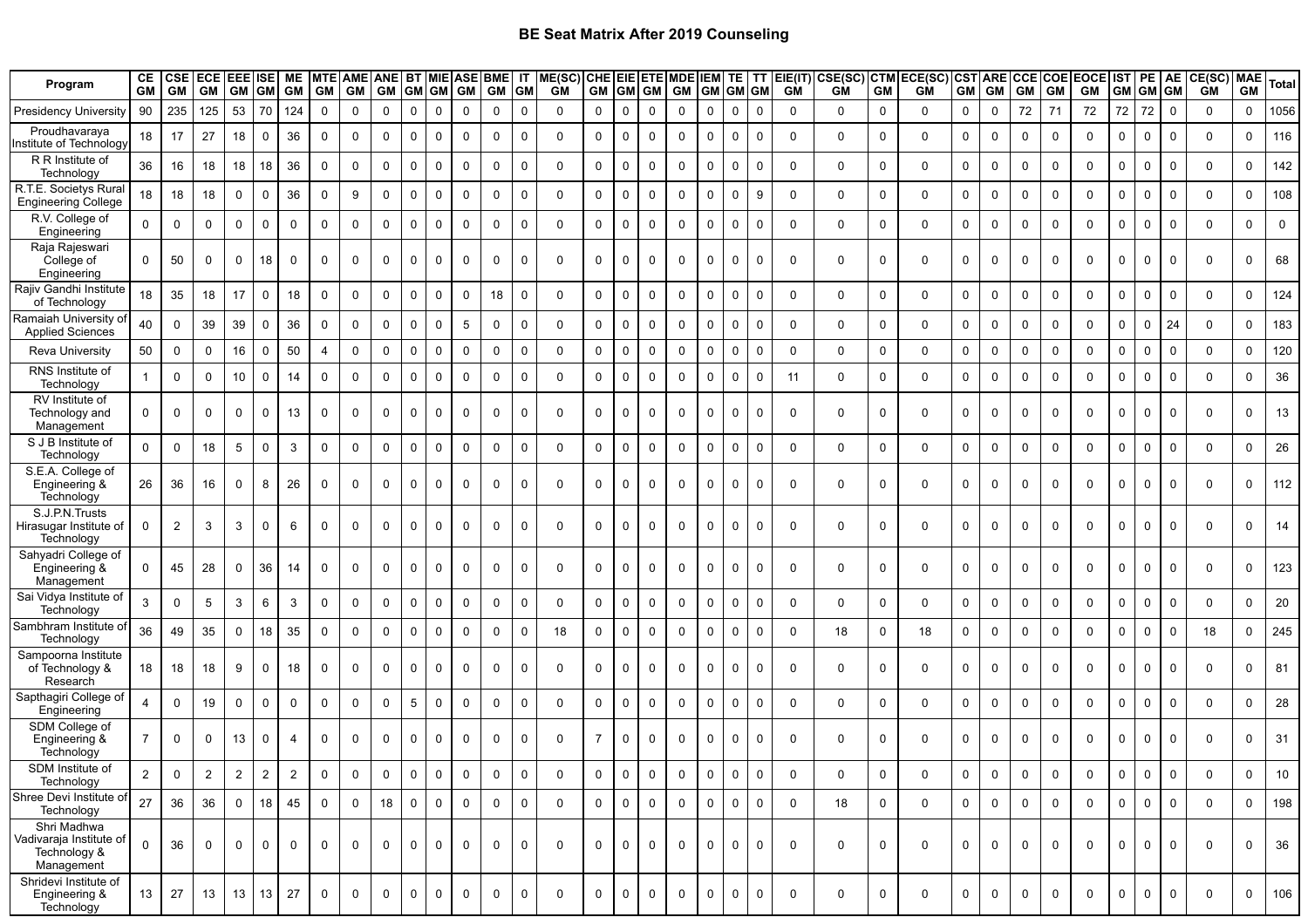| Program                                                              | CЕ<br><b>GM</b> | <b>CSE</b><br><b>GM</b> | <b>ECE</b><br><b>GM</b> | <b>EEE</b> ISE<br><b>GM</b> | <b>GM</b>   | МE<br><b>GM</b> | <b>GM</b>      | <b>GM</b>    | MTE AME ANE BT MIE ASE<br>GM |             | GM GM GM    |             | BME IT<br>GM GM |             | ME(SC)<br>GM | CHE EIE ETE<br>GM GM GM |             |             | <b>MDE</b><br><b>GM</b> | <b>IEM</b><br><b>GM</b> | <b>TE</b>    | ΤT<br><b>GM</b> GM | GM          | EIE(IT) CSE(SC)<br>GM | <b>CTM</b><br>GM | ECE(SC)<br>GM | <b>CST ARE</b><br><b>GM</b> | <b>GM</b>   | <b>CCE</b><br>GM | <b>COE</b><br><b>GM</b> | EOCE IST PE<br>GM |                | <b>GM</b> GM GM | <b>AE</b>        | <b>CE(SC)</b> MAE<br><b>GM</b> | <b>GM</b>   | <b>Total</b> |
|----------------------------------------------------------------------|-----------------|-------------------------|-------------------------|-----------------------------|-------------|-----------------|----------------|--------------|------------------------------|-------------|-------------|-------------|-----------------|-------------|--------------|-------------------------|-------------|-------------|-------------------------|-------------------------|--------------|--------------------|-------------|-----------------------|------------------|---------------|-----------------------------|-------------|------------------|-------------------------|-------------------|----------------|-----------------|------------------|--------------------------------|-------------|--------------|
| <b>Presidency University</b>                                         | 90              | 235                     | 125                     | 53                          | 70          | 124             | $\mathbf 0$    | $\mathbf 0$  | $\mathbf 0$                  | 0           | $\mathbf 0$ | $\mathbf 0$ | $\mathbf 0$     | $\mathbf 0$ | $\Omega$     | 0                       | $\mathbf 0$ | $\mathbf 0$ | $\mathbf 0$             | $\mathbf 0$             | $\mathbf 0$  | $\mathbf 0$        | $\mathbf 0$ | $\mathbf 0$           | $\mathbf 0$      | $\mathbf 0$   | $\mathbf 0$                 | $\Omega$    | 72               | 71                      | 72                | 72             | 72              | $\mathbf 0$      | $\Omega$                       | $\mathbf 0$ | 1056         |
| Proudhavaraya<br>าstitute of Technology                              | 18              | 17                      | 27                      | 18                          | $\mathbf 0$ | 36              | $\mathbf 0$    | $\Omega$     | $\mathbf 0$                  | $\Omega$    | $\mathbf 0$ | $\Omega$    | 0               | $\Omega$    | $\Omega$     | 0                       | 0           | $\mathbf 0$ | $\mathbf 0$             | $\Omega$                | $\mathbf 0$  | $\mathbf 0$        | $\mathbf 0$ | $\mathbf 0$           | $\mathbf 0$      | $\Omega$      | $\mathbf 0$                 | 0           | $\Omega$         | $\mathbf{0}$            | $\Omega$          | $\mathbf 0$    | $\mathbf 0$     | $\mathbf 0$      | $\mathbf 0$                    | 0           | 116          |
| R R Institute of<br>Technology                                       | 36              | 16                      | 18                      | 18                          | 18          | 36              | $\mathbf 0$    | $\mathbf 0$  | $\mathbf 0$                  | $\mathbf 0$ | $\mathbf 0$ | $\mathbf 0$ | 0               | $\mathbf 0$ | $\mathbf 0$  | $\mathbf 0$             | 0           | 0           | $\mathbf 0$             | $\mathbf 0$             | $\mathbf 0$  | $\mathbf 0$        | $\mathbf 0$ | $\mathbf 0$           | $\mathbf 0$      | $\mathbf 0$   | $\mathbf 0$                 | $\Omega$    | $\Omega$         | $\mathbf 0$             | $\mathbf 0$       | $\mathbf 0$    | $\mathbf 0$     | $\mathbf 0$      | $\mathbf 0$                    | 0           | 142          |
| R.T.E. Societys Rural<br><b>Engineering College</b>                  | 18              | 18                      | 18                      | $\mathbf 0$                 | $\mathbf 0$ | 36              | $\mathbf 0$    | 9            | $\mathbf 0$                  | $\Omega$    | $\mathsf 0$ | $\mathbf 0$ | $\mathbf 0$     | $\mathbf 0$ | $\Omega$     | 0                       | 0           | $\mathbf 0$ | 0                       | $\mathbf 0$             | $\mathbf 0$  | 9                  | $\Omega$    | $\mathbf 0$           | $\mathbf 0$      | $\mathbf 0$   | $\mathbf 0$                 | 0           | $\mathbf 0$      | $\mathbf 0$             | $\mathbf 0$       | $\mathbf 0$    | $\mathbf 0$     | $\mathbf 0$      | $\Omega$                       | $\mathbf 0$ | 108          |
| R.V. College of<br>Engineering                                       | $\Omega$        | $\mathbf 0$             | $\mathbf 0$             | $\mathbf 0$                 | $\mathbf 0$ | $\mathbf 0$     | $\mathbf 0$    | $\mathbf{0}$ | $\mathbf 0$                  | $\mathbf 0$ | $\mathsf 0$ | $\mathbf 0$ | $\mathbf 0$     | $\mathbf 0$ | $\Omega$     | $\mathbf 0$             | 0           | $\mathbf 0$ | $\mathbf 0$             | $\mathbf 0$             | $\mathbf 0$  | $\mathbf 0$        | $\Omega$    | $\mathbf 0$           | $\mathbf 0$      | $\Omega$      | $\mathbf 0$                 | $\Omega$    | $\Omega$         | $\Omega$                | $\Omega$          | $\mathbf{0}$   | $\mathbf 0$     | $\mathbf 0$      | $\Omega$                       | $\mathbf 0$ | $\Omega$     |
| Raja Rajeswari<br>College of<br>Engineering                          | $\mathbf 0$     | 50                      | $\mathbf 0$             | 0                           | 18          | $\mathbf 0$     | $\mathbf 0$    | $\mathbf 0$  | $\mathbf 0$                  | $\mathbf 0$ | $\mathbf 0$ | $\mathbf 0$ | 0               | 0           | 0            | $\mathbf 0$             | 0           | 0           | 0                       | $\mathbf 0$             | $\mathbf 0$  | $\mathbf 0$        | $\mathbf 0$ | $\mathbf 0$           | $\mathbf 0$      | $\Omega$      | $\mathbf 0$                 | 0           | 0                | $\mathbf 0$             | $\mathbf 0$       | $\mathbf 0$    | $\mathbf 0$     | $\mathbf 0$      | $\mathbf 0$                    | 0           | 68           |
| Rajiv Gandhi Institute<br>of Technology                              | 18              | 35                      | 18                      | 17                          | $\mathbf 0$ | 18              | $\mathbf 0$    | $\Omega$     | $\mathbf 0$                  | 0           | $\mathsf 0$ | 0           | 18              | $\mathbf 0$ | $\Omega$     | 0                       | 0           | $\mathbf 0$ | 0                       | $\mathbf 0$             | $\mathbf 0$  | 0                  | $\mathbf 0$ | $\mathbf 0$           | $\mathbf 0$      | $\mathbf 0$   | $\mathbf 0$                 | 0           | $\Omega$         | $\mathbf 0$             | $\mathbf 0$       | $\mathbf 0$    | $\mathbf 0$     | $\mathbf 0$      | $\mathbf 0$                    | $\mathbf 0$ | 124          |
| Ramaiah University of<br><b>Applied Sciences</b>                     | 40              | $\Omega$                | 39                      | 39                          | $\mathbf 0$ | 36              | $\mathbf 0$    | $\mathbf 0$  | $\mathbf 0$                  | $\mathbf 0$ | $\mathbf 0$ | 5           | $\mathbf 0$     | $\mathbf 0$ | $\Omega$     | 0                       | $\mathbf 0$ | $\mathbf 0$ | $\mathbf 0$             | $\Omega$                | $\mathbf 0$  | $\Omega$           | $\Omega$    | $\mathbf 0$           | $\mathbf 0$      | $\mathbf 0$   | $\mathbf 0$                 | $\mathbf 0$ | $\Omega$         | $\Omega$                | $\mathbf 0$       | $\mathbf 0$    | $\mathbf 0$     | 24               | $\Omega$                       | 0           | 183          |
| <b>Reva University</b>                                               | 50              | $\mathbf 0$             | $\mathbf 0$             | 16                          | $\mathbf 0$ | 50              | $\overline{4}$ | $\mathbf 0$  | $\mathbf 0$                  | $\mathbf 0$ | $\mathsf 0$ | $\mathbf 0$ | $\mathbf 0$     | $\mathbf 0$ | $\Omega$     | $\mathsf{O}$            | 0           | $\mathbf 0$ | $\mathbf 0$             | $\mathbf 0$             | $\mathbf 0$  | $\mathbf 0$        | $\mathbf 0$ | $\mathbf 0$           | $\mathbf 0$      | $\mathbf 0$   | $\mathsf{O}\xspace$         | $\Omega$    | $\Omega$         | 0                       | $\mathbf 0$       | $\mathbf 0$    | $\mathbf 0$     | $\mathsf 0$      | $\mathbf 0$                    | 0           | 120          |
| RNS Institute of<br>Technology                                       |                 | $\Omega$                | $\Omega$                | 10                          | $\mathbf 0$ | 14              | $\mathbf 0$    | $\Omega$     | $\Omega$                     | $\Omega$    | $\mathbf 0$ | $\Omega$    | $\Omega$        | $\mathbf 0$ | $\Omega$     | $\mathbf 0$             | $\mathbf 0$ | $\Omega$    | $\Omega$                | $\Omega$                | $\mathbf{0}$ | $\mathbf 0$        | 11          | $\mathbf 0$           | $\mathbf 0$      | $\Omega$      | $\mathbf 0$                 | $\Omega$    | $\Omega$         | $\Omega$                | $\Omega$          | $\mathbf 0$    | $\mathbf 0$     | $\Omega$         | $\Omega$                       | $\Omega$    | 36           |
| RV Institute of<br>Technology and<br>Management                      | 0               | 0                       | 0                       | $\Omega$                    | $\mathbf 0$ | 13              | 0              | $\Omega$     | $\mathbf{0}$                 | $\Omega$    | $\mathbf 0$ | $\Omega$    | $\mathbf 0$     | $\Omega$    | $\Omega$     | 0                       | 0           | $\Omega$    | $\Omega$                | 0                       | $\mathbf{0}$ | 0                  | $\Omega$    | $\mathbf 0$           | $\mathbf 0$      | $\Omega$      | $\mathbf 0$                 | $\Omega$    |                  | $\mathbf{0}$            | $\mathbf{0}$      | $\mathbf 0$    | $\mathbf 0$     | $\Omega$         | $\Omega$                       | 0           | 13           |
| S J B Institute of<br>Technology                                     | $\Omega$        | $\Omega$                | 18                      | 5                           | $\mathbf 0$ | $\mathbf{3}$    | $\mathbf 0$    | $\mathbf{0}$ | $\mathbf 0$                  | $\Omega$    | $\mathbf 0$ | $\mathbf 0$ | $\mathbf 0$     | $\mathbf 0$ | $\Omega$     | 0                       | $\mathbf 0$ | $\Omega$    | $\mathbf 0$             | $\mathbf 0$             | $\mathbf 0$  | $\mathbf 0$        | $\Omega$    | $\mathbf 0$           | $\mathbf 0$      | $\Omega$      | $\mathbf 0$                 | $\Omega$    | $\Omega$         | $\mathbf 0$             | $\mathbf 0$       | $\overline{0}$ | $\mathbf 0$     | $\mathbf 0$      | $\Omega$                       | $\Omega$    | 26           |
| S.E.A. College of<br>Engineering &<br>Technology                     | 26              | 36                      | 16                      | $\mathbf 0$                 | 8           | 26              | $\mathbf 0$    | $\mathbf 0$  | $\mathbf 0$                  | $\mathbf 0$ | $\mathbf 0$ | $\mathbf 0$ | $\mathbf 0$     | 0           | $\Omega$     | $\mathbf 0$             | 0           | $\mathbf 0$ | $\mathbf 0$             | $\mathbf 0$             | $\mathbf 0$  | $\mathbf 0$        | $\mathbf 0$ | $\mathbf 0$           | $\mathbf 0$      | $\Omega$      | $\mathbf 0$                 | 0           | 0                | $\mathbf 0$             | $\mathbf 0$       | $\mathbf 0$    | $\mathbf 0$     | $\mathbf 0$      | $\mathbf 0$                    | $\mathbf 0$ | 112          |
| S.J.P.N.Trusts<br>Hirasugar Institute of<br>Technology               | $\Omega$        | $\overline{2}$          | 3                       | 3                           | $\mathbf 0$ | 6               | 0              | $\Omega$     | $\mathbf{0}$                 | $\Omega$    | $\mathbf 0$ | $\Omega$    | 0               | $\Omega$    | $\Omega$     | $\mathbf 0$             | $\Omega$    | $\Omega$    | $\Omega$                | $\Omega$                | $\mathbf{0}$ | $\Omega$           | $\Omega$    | $\Omega$              | $\mathbf 0$      | $\Omega$      | $\mathbf 0$                 | $\Omega$    | $\Omega$         | $\Omega$                | $\Omega$          | $\mathbf 0$    | $\mathbf 0$     | $\Omega$         | $\Omega$                       | 0           | 14           |
| Sahyadri College of<br>Engineering &<br>Management                   | $\mathbf{0}$    | 45                      | 28                      | $\mathbf 0$                 | 36          | 14              | 0              | $\mathbf 0$  | $\mathbf 0$                  | $\mathbf 0$ | $\mathbf 0$ | 0           | 0               | $\mathbf 0$ | 0            | $\mathbf 0$             | 0           | $\mathbf 0$ | 0                       | $\mathbf 0$             | $\mathbf 0$  | $\mathbf 0$        | $\mathbf 0$ | $\mathbf 0$           | $\mathbf 0$      | $\mathbf 0$   | $\mathbf 0$                 | 0           | $\mathbf 0$      | $\mathbf 0$             | $\mathbf 0$       | $\overline{0}$ | $\mathbf 0$     | $\mathbf 0$      | $\mathbf 0$                    | 0           | 123          |
| Sai Vidya Institute of<br>Technology                                 | 3               | 0                       | 5                       | 3                           | 6           | 3               | $\mathbf 0$    | 0            | $\Omega$                     | 0           | $\mathsf 0$ | $\mathbf 0$ | 0               | $\Omega$    | $\Omega$     | 0                       | 0           | $\mathbf 0$ | $\mathbf 0$             | $\Omega$                | $\mathbf 0$  | $\mathbf 0$        | $\mathbf 0$ | $\mathbf 0$           | $\mathbf 0$      | $\mathbf 0$   | $\mathbf 0$                 | $\Omega$    | $\Omega$         | $\mathbf 0$             | $\mathbf 0$       | $\mathbf 0$    | $\Omega$        | $\mathbf 0$      | $\mathbf 0$                    | $\mathbf 0$ | 20           |
| Sambhram Institute of I<br>Technology                                | 36              | 49                      | 35                      | $\mathbf 0$                 | 18          | 35              | $\mathbf 0$    | $\mathbf 0$  | $\mathbf 0$                  | 0           | $\mathbf 0$ | $\Omega$    | $\mathbf 0$     | $\mathbf 0$ | 18           | 0                       | 0           | $\mathbf 0$ | $\mathbf 0$             | $\Omega$                | $\mathbf 0$  | $\mathbf 0$        | $\Omega$    | 18                    | $\mathbf 0$      | 18            | $\mathbf 0$                 | 0           | $\Omega$         | $\Omega$                | $\Omega$          | $\mathbf 0$    | $\mathbf 0$     | $\mathbf 0$      | 18                             | $\mathbf 0$ | 245          |
| Sampoorna Institute<br>of Technology &<br>Research                   | 18              | 18                      | 18                      | 9                           | $\mathbf 0$ | 18              | 0              | 0            | $\mathbf 0$                  | 0           | $\mathbf 0$ | 0           | 0               | $\Omega$    | 0            | $\mathbf 0$             | 0           | $\mathbf 0$ | $\mathbf 0$             | $\mathbf 0$             | $\mathbf 0$  | $\mathbf 0$        | $\mathbf 0$ | $\mathbf 0$           | $\mathbf 0$      | 0             | $\mathbf 0$                 | 0           | $\Omega$         | $\mathbf{0}$            | $\mathbf 0$       | $\mathbf{0}$   | $\mathbf 0$     | $\mathbf 0$      | $\mathbf 0$                    | 0           | 81           |
| Sapthagiri College of<br>Engineering                                 | $\Delta$        | $\Omega$                | 19                      | $\mathbf 0$                 | $\mathbf 0$ | $\mathbf 0$     | 0              | 0            | $\mathbf 0$                  | 5           | $\mathbf 0$ | $\mathbf 0$ | $\mathbf 0$     | $\mathbf 0$ | $\Omega$     | 0                       | 0           | $\Omega$    | $\mathbf 0$             | $\Omega$                | $\mathbf 0$  | $\mathbf 0$        | $\mathbf 0$ | $\mathbf 0$           | $\mathbf 0$      | $\mathbf 0$   | $\mathbf 0$                 | $\mathbf 0$ | $\mathbf 0$      | $\mathbf 0$             | $\mathbf 0$       | 0              | $\Omega$        | $\mathbf 0$      | $\mathbf 0$                    | $\mathbf 0$ | 28           |
| SDM College of<br>Engineering &<br>Technology                        | 7               | 0                       | 0                       | 13                          | 0           | 4               | 0              | 0            | 0                            | $\Omega$    | $\mathbf 0$ | 0           | 0               | $\Omega$    | $\Omega$     | $\overline{7}$          | 0           | 0           | 0                       | $\Omega$                | $\mathbf 0$  | 0                  | $\mathbf 0$ | $\mathbf 0$           | 0                | $\Omega$      | $\mathbf 0$                 | 0           | 0                | 0                       | 0                 | 0              | 0               | 0                | $\mathbf 0$                    | 0           | 31           |
| SDM Institute of<br>Technology                                       | $\overline{2}$  | $\mathbf 0$             | $\overline{2}$          | $\overline{2}$              | $\sqrt{2}$  | $\overline{2}$  | $\mathbf 0$    | 0            | $\pmb{0}$                    | 0           | $\mathbf 0$ | $\mathbf 0$ | $\mathbf 0$     | $\pmb{0}$   | $\mathbf 0$  | $\mathsf{O}$            | 0           | $\mathbf 0$ | $\mathbf 0$             | $\pmb{0}$               | $\mathbf 0$  | $\mathbf 0$        | $\mathbf 0$ | $\mathbf 0$           | $\pmb{0}$        | $\mathbf 0$   | $\mathsf 0$                 | $\pmb{0}$   | 0                | $\mathbf 0$             | $\mathbf 0$       | $\mathbf 0$    | $\mathbf 0$     | $\boldsymbol{0}$ | $\mathbf 0$                    | $\mathbf 0$ | 10           |
| Shree Devi Institute of<br>Technology                                | 27              | 36                      | 36                      | $\mathbf{0}$                | 18          | 45              | $\mathbf{0}$   | $\mathbf 0$  | 18                           | $\mathbf 0$ | $\mathbf 0$ | $\mathbf 0$ | $\mathbf 0$     | $\mathbf 0$ | $\mathbf{0}$ | $\mathbf 0$             | $\mathbf 0$ | $\mathbf 0$ | $\mathbf{0}$            | $\mathbf 0$             | $\mathbf 0$  | $\overline{0}$     | $\Omega$    | 18                    | $\mathbf 0$      | $\mathbf{0}$  | $\mathbf 0$                 | $\mathbf 0$ | $\mathbf 0$      | $\Omega$                | $\Omega$          | $\overline{0}$ | $\mathbf 0$     | $\mathbf 0$      | $\Omega$                       | 0           | 198          |
| Shri Madhwa<br>Vadivaraja Institute of<br>Technology &<br>Management | $\Omega$        | 36                      | $\mathbf 0$             | $\mathbf 0$                 | $\mathbf 0$ | $\mathbf 0$     | 0              | 0            | $\mathbf 0$                  | 0           | $\mathbf 0$ | $\mathbf 0$ | 0               | $\mathbf 0$ | $\mathbf 0$  | $\mathsf{O}$            | $\mathbf 0$ | 0           | $\mathbf 0$             | $\mathbf 0$             | $\mathsf{O}$ | $\mathbf 0$        | $\mathbf 0$ | 0                     | $\mathbf 0$      | $\mathbf 0$   | $\mathbf 0$                 | 0           | $\mathbf 0$      | $\mathbf 0$             | $\mathbf 0$       | $\mathbf 0$    | $\mathbf 0$     | $\mathbf 0$      | $\mathbf 0$                    | 0           | 36           |
| Shridevi Institute of<br>Engineering &<br>Technology                 | 13              | 27                      | 13                      | 13                          | 13          | 27              | $\mathbf 0$    | 0            | $\mathbf 0$                  | $\mathbf 0$ | $\mathbf 0$ | $\mathbf 0$ | $\mathbf 0$     | $\mathbf 0$ | $\mathbf 0$  | $\mathbf 0$             | 0           | $\mathbf 0$ | $\mathbf 0$             | 0                       | $\mathbf 0$  | $\mathbf 0$        | $\mathbf 0$ | $\mathbf 0$           | $\mathbf 0$      | 0             | $\mathbf 0$                 | $\mathbf 0$ | 0                | $\mathbf 0$             | $\mathbf 0$       | $\overline{0}$ | $\overline{0}$  | $\mathbf 0$      | $\mathbf 0$                    | 0           | 106          |